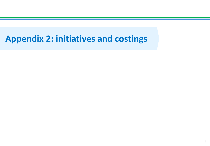# **Appendix 2: initiatives and costings**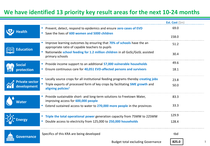## **We have identified 13 priority key result areas for the next 10-24 months**

|                       |                                                                                                                          | Est. Cost $(\$m)$ |
|-----------------------|--------------------------------------------------------------------------------------------------------------------------|-------------------|
| Health                | Prevent, detect, respond to epidemics and ensure zero cases of EVD                                                       | 69.0              |
|                       | Save the lives of 600 women and 5000 children                                                                            | 158.0             |
| <b>Education</b>      | Improve learning outcomes by ensuring that 70% of schools have the an<br>appropriate ratio of capable teachers to pupils | 51.2              |
|                       | Nationwide school feeding for 1.2 million children in all GoSL/GoSL assisted<br>primary schools                          | 30.4              |
| <b>Social</b>         | Provide income support to an additional 57,000 vulnerable households                                                     | 49.6              |
| protection            | Ensure continuous care for 40,051 EVD-affected persons and survivors                                                     | 18.1              |
| <b>Private sector</b> | Locally source crops for all institutional feeding programs thereby creating jobs                                        | 23.8              |
| development           | Triple exports of processed form of key crops by facilitating SME growth and<br>aligning policies <sup>1</sup>           | 50.0              |
| <b>Nater</b>          | Provide sustainable short- and long-term solutions to Freetown Water,<br>improving access for 600,000 people             | 83.3              |
|                       | Extend sustained access to water to 270,000 more people in the provinces                                                 | 33.3              |
|                       | Triple the total operational power generation capacity from 75MW to 225MW                                                | 129.9             |
|                       | Double access to electricity from 125,000 to 250,000 households                                                          | 128.4             |
| <b>Governance</b>     | Specifics of this KRA are being developed                                                                                | tbd               |
|                       |                                                                                                                          |                   |

1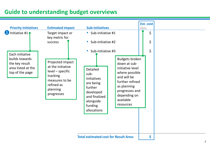## **Guide to understanding budget overviews**

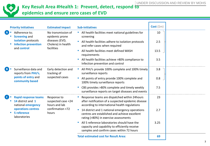

### **Key Result Area #Health 1: Prevent, detect, respond to epidemics and ensure zero cases of EVD**

|   | <b>Priority Initiatives</b>                                                            | <b>Estimated impact</b>                               | <b>Sub-initiatives</b>                                                                                                                                                   | Cost $(\text{5m})$ |  |
|---|----------------------------------------------------------------------------------------|-------------------------------------------------------|--------------------------------------------------------------------------------------------------------------------------------------------------------------------------|--------------------|--|
|   | Adherence to;<br><b>Screening and</b>                                                  | No transmission of<br>epidemic prone                  | • All health facilities meet national guidelines for<br>screening                                                                                                        | 10                 |  |
|   | isolation protocols<br><b>Infection prevention</b><br>and control                      | diseases (EVD,<br>Cholera) in health<br>facilities    | All health facilities adhere to isolation protocols<br>and refer cases when required                                                                                     | 2.5                |  |
|   |                                                                                        |                                                       | All health facilities meet defined WASH<br>requirements                                                                                                                  | 13.5               |  |
|   |                                                                                        |                                                       | All health facilities achieve >80% compliance to<br>Infection prevention and control                                                                                     | 3.5                |  |
| В | Surveillance data and<br>reports from PHU's,<br>points of entry and<br>community based | Early detection and<br>tracking of<br>suspected cases | All PHU's provide 100% complete and 100% timely<br>surveillance reports                                                                                                  | 3.8                |  |
|   |                                                                                        |                                                       | All points of entry provide 100% complete and<br>$\blacksquare$<br>100% timely surveillance reports                                                                      | 0.8                |  |
|   |                                                                                        |                                                       | CBS provides >80% complete and timely weekly<br>surveillance reports on target diseases and events                                                                       | 7.5                |  |
|   | <b>Rapid response teams</b><br>14 district and 1<br>national emergency                 | Response to<br>suspected case <24<br>hours and lab    | Response teams are dispatched within 24 hours<br>after notification of a suspected epidemic disease<br>according to international health regulations                     | 23                 |  |
| × | confirmation <72<br>operations centres<br>5 reference<br>hours<br>laboratories         |                                                       | 14 district and 1 national emergency operations<br>$\mathcal{L}_{\mathcal{A}}$<br>centres are established and achieve excellent<br>rating (>80%) in exercise assessments | 2.7                |  |
|   |                                                                                        |                                                       | All 5 reference laboratories should have the<br>capacity and capability to efficiently receive<br>samples and confirm cases within 72 hours                              | 3.25               |  |
|   |                                                                                        |                                                       | <b>Total estimated cost for Result Area:</b>                                                                                                                             | 69                 |  |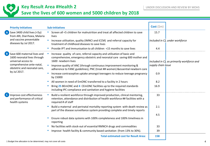

#### **Key Result Area #Health 2 Save the lives of 600 women and 5000 children by 2018**

|              | <b>Priority Initiatives</b>                                                                                                                    | <b>Sub-initiatives</b>                                                                                                                                                                                                                                                | Cost $(\text{5m})$ |                                            |
|--------------|------------------------------------------------------------------------------------------------------------------------------------------------|-----------------------------------------------------------------------------------------------------------------------------------------------------------------------------------------------------------------------------------------------------------------------|--------------------|--------------------------------------------|
|              | Save 3400 child lives (<5y)<br>from ARI, Diarrhoea, Malaria                                                                                    | Screen all <5 children for malnutrition and treat all affected children to save<br>$\mathcal{L}_{\mathcal{A}}$<br>lives                                                                                                                                               | 15.7               |                                            |
|              | and vaccine preventable<br>diseases by Jul 2017.                                                                                               | Increase utilisation, quality (IMNCI and iCCM) and referral capacity for<br>$\blacksquare$<br>treatment of childhood diseases to save lives                                                                                                                           |                    | Included in C), under workforce            |
|              |                                                                                                                                                | Provide IPT and Immunisation to all children <15 months to save lives                                                                                                                                                                                                 | 4.4                |                                            |
| $\mathbf{B}$ | Save 600 maternal lives and<br>1600 neonatal lives through<br>universal access to<br>comprehensive ante-natal,<br>obstetric and neonatal care, | Increase quality of care, referral capacity and utilisation of basic and<br>comprehensive, emergency obstetric and neonatal care saving 600 mother and<br>1600 newborn lives<br>$\blacksquare$<br>Improve quality of ANC (through continuous improvement monitoring & | supply chain issue | Included in C), as primarily workforce and |
|              | by Jul 2017.                                                                                                                                   | adherence to FANC guidelines), PNC (treat ## women) & essential newborn care<br>Increase contraceptive uptake amongst teenagers to reduce teenage pregnancy<br>$\mathcal{L}_{\mathcal{A}}$<br>by 15000                                                                | 0.9                |                                            |
|              |                                                                                                                                                | All women in need of EmONC transferred to a facility in 2 hours                                                                                                                                                                                                       | 8.2                |                                            |
|              |                                                                                                                                                | Bring 25 BEmONC and 4 CEmONC facilities up to the required standards<br>including IPC compliance and sanitation and hygiene facilities                                                                                                                                | 16.9               |                                            |
|              | Improve cost effectiveness<br>and performance of critical<br>health systems                                                                    | Build a resilient workforce through improved production, clinical mentoring,<br>retention, attendance and distribution of health workforce ## facilities with a<br>required # of staff                                                                                | 33                 |                                            |
|              |                                                                                                                                                | Build a maternal and perinatal mortality reporting system with death review as<br>$\mathcal{L}_{\mathcal{A}}$<br>part of the disease surveillance system providing complete and timely reports                                                                        | 2.1                |                                            |
|              |                                                                                                                                                | Ensure robust data systems with 100% completeness and 100% timeliness in<br>reporting                                                                                                                                                                                 | 4.5                |                                            |
|              |                                                                                                                                                | No facilities with stock-out of essential RMNCH drugs and commodities                                                                                                                                                                                                 | 33                 |                                            |
|              |                                                                                                                                                | Improve health facility & community based sanitation (from 13% to 30%).                                                                                                                                                                                               | 39                 |                                            |
|              |                                                                                                                                                | <b>Total estimated cost for Result Area:</b>                                                                                                                                                                                                                          | 158                |                                            |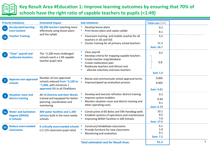

### **Key Result Area #Education 1: Improve learning outcomes by ensuring that 70% of schools have the right ratio of capable teachers to pupils (<1:49)**

| <b>Priority Initiatives</b>                                             | <b>Estimated impact</b>                                                                                                   | <b>Sub-initiatives</b>                                                                                                                                                                                   | Total cost (\$M)                       |  |
|-------------------------------------------------------------------------|---------------------------------------------------------------------------------------------------------------------------|----------------------------------------------------------------------------------------------------------------------------------------------------------------------------------------------------------|----------------------------------------|--|
| <b>Accelerated learning -</b><br>1a<br><b>Core Content</b>              | 58,200 teachers teaching more<br>effectively using lesson plans                                                           | Develop lesson plans<br>Print lesson plans and copies syllabi                                                                                                                                            | 0.2<br>8.1                             |  |
| <b>Teacher Training</b><br>1 <sub>b</sub>                               | and the syllabi                                                                                                           | Classroom training and mobile coaches for all<br>teachers in JSS and SSS<br>Cluster training for all primary school teachers                                                                             | 5.2<br>11.2<br><b>Sum: 24.7</b>        |  |
| 'Clear" payroll and<br>$\overline{2}$<br>reallocate teachers            | The $\approx$ 2,200 most challenged<br>schools reach a 1:49 capable<br>teacher-pupil ratio                                | Clear payroll<br>Develop criteria for mapping capable teachers<br>Create teacher map/database<br>Create reallocation plan<br>Reallocate teachers and Attract and<br>allocate voluntary overseas teachers | 0.2<br>0.8<br><b>Sum 1.0</b>           |  |
| <b>Approve non-approved</b><br>$\overline{\mathbf{3}}$<br>schools       | Number of non-approved<br>schools reduced from ~2,100 to<br>$\sim$ 1,600, with minimum 1<br>approved JSS in all Chiefdoms | Revise and communicate school approval terms<br>Improve/speed up evaluation process                                                                                                                      | 0.005<br>0.005<br><b>Sum: 0.01</b>     |  |
| <b>Situation room and</b><br>district training                          | All 14 Districts and their Wards<br>trained and equipped for better<br>planning, coordination and<br>monitoring           | Develop and execute refresher district training<br>Improve system enablers<br>Monitor situation room and district training and<br>other operating costs                                                  | 0.2<br>0.44<br>0.1<br><b>Sum: 0.74</b> |  |
| <b>Water and Sanitation</b><br>5a<br><b>Hygene (WASH)</b><br>in Schools | 849 water facilities and 1,340<br>latrines built in the most needy<br>schools                                             | Construction of 85 Boles and 594 Handdug wells<br>Establish systems of operations and maintenance<br>Improving WASH Facilities in 200 Schools                                                            | 10.1<br>0.5<br>7.0<br><b>Sum: 17.6</b> |  |
| <b>Reduce overcrowded</b><br>5 <sub>b</sub><br>classrooms               | <b>0 critically overcrowded schools</b><br>(>1:125 classroom-pupil ratio)                                                 | Construct/rehabilitate classrooms<br>Provide furniture for new classrooms<br>Monitoring and evaluation                                                                                                   | 6.1<br>1.0<br>0.1<br><b>Sum: 7.2</b>   |  |
|                                                                         |                                                                                                                           | <b>Total estimated cost for Result Area:</b>                                                                                                                                                             | 51.2                                   |  |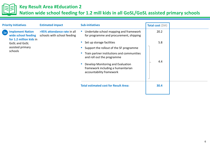

#### **Key Result Area #Education 2**

**Nation wide school feeding for 1.2 mill kids in all GoSL/GoSL assisted primary schools**

| <b>Priority Initiatives</b>                                                                                                                     | <b>Estimated impact</b>                                    | <b>Sub-initiatives</b>                                                                                                                                                                                                                                                                                                                       | Total cost (\$M)   |  |
|-------------------------------------------------------------------------------------------------------------------------------------------------|------------------------------------------------------------|----------------------------------------------------------------------------------------------------------------------------------------------------------------------------------------------------------------------------------------------------------------------------------------------------------------------------------------------|--------------------|--|
| <b>Implement Nation</b><br>$\left($ 1a<br>wide school feeding<br>for 1.2 million kids in<br><b>GoSL and GoSL</b><br>assisted primary<br>schools | >95% attendance rate in all<br>schools with school feeding | Undertake school mapping and framework<br>for programme and procurement, shipping<br>Set up storage facilities<br>Support the rollout of the SF programme<br>Train partner institutions and communities<br>and roll out the programme<br>Develop Monitoring and Evaluation<br>framework including a humanitarian<br>accountability framework | 20.2<br>5.8<br>4.4 |  |
|                                                                                                                                                 |                                                            | <b>Total estimated cost for Result Area:</b>                                                                                                                                                                                                                                                                                                 | 30.4               |  |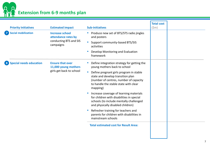**Extension from 6-9 months plan** 

| <b>Priority Initiatives</b>    | <b>Estimated impact</b>                                                              | <b>Sub-initiatives</b>                                                                                                                                                                                                                                                          | <b>Total cost</b><br>$(\text{5m})$ |  |
|--------------------------------|--------------------------------------------------------------------------------------|---------------------------------------------------------------------------------------------------------------------------------------------------------------------------------------------------------------------------------------------------------------------------------|------------------------------------|--|
| <b>Social mobilization</b>     | <b>Increase school</b><br>attendance rates by<br>conducting BTS and SIS<br>campaigns | Produce new set of BTS/STS radio jingles<br>and posters<br>Support community-based BTS/SIS<br>activities<br>Develop Monitoring and Evaluation<br>framework                                                                                                                      |                                    |  |
| <b>Special needs education</b> | <b>Ensure that over</b><br>11,000 young mothers<br>girls get back to school          | Define integration strategy for getting the<br>young mothers back to school<br><b>CONTRACTOR</b><br>Define pregnant girls program in stable<br>state and develop transition plan<br>(number of centres, number of capacity<br>to handle the stable state with clear<br>mapping) |                                    |  |
|                                |                                                                                      | Increase coverage of learning materials<br>for children with disabilities in special<br>schools (to include mentally challenged<br>and physically disabled children)                                                                                                            |                                    |  |
|                                |                                                                                      | Refresher training for teachers and<br>parents for children with disabilities in<br>mainstream schools<br><b>Total estimated cost for Result Area:</b>                                                                                                                          |                                    |  |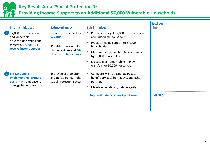

#### **Key Result Area #Social Protection 1:**

#### **Providing Income Support to an Additional 57,000 Vulnerable Households**

| <b>Estimated impact</b>                                                                                                                                                                                                                                       | <b>Sub-initiatives</b>                                                                  | <b>Total cost</b><br>$(\text{5m})$                                                  |        |
|---------------------------------------------------------------------------------------------------------------------------------------------------------------------------------------------------------------------------------------------------------------|-----------------------------------------------------------------------------------------|-------------------------------------------------------------------------------------|--------|
| Enhanced livelihood for<br>57k HHs                                                                                                                                                                                                                            | • Profile and Target 57,000 extremely poor<br>and vulnerable households                 |                                                                                     |        |
| 57k HHs access mobile                                                                                                                                                                                                                                         | Provide income support to 57,000<br>households                                          |                                                                                     |        |
| phone facilities and <b>50k</b><br><b>HHs use mobile money</b>                                                                                                                                                                                                | Make mobile phone facilities accessible<br>by 50,000 households                         |                                                                                     |        |
|                                                                                                                                                                                                                                                               | Execute electronic mobile money<br>transfers for 50,000 households                      |                                                                                     |        |
| Improved coordination<br>and transparency in the<br><b>Social Protection Sector</b>                                                                                                                                                                           | • Configure MIS to accept aggregate<br>beneficiary data from MDAs and other<br>partners |                                                                                     |        |
|                                                                                                                                                                                                                                                               |                                                                                         |                                                                                     |        |
|                                                                                                                                                                                                                                                               |                                                                                         |                                                                                     |        |
| <b>Priority Initiatives</b><br>1 57,000 extremely poor<br>and vulnerable<br>households profiled and<br>targeted. 57,000 HHs<br>receive income support<br>2 5 MDA's and 5<br><b>Implementing Partners</b><br>use SPRINT database to<br>manage beneficiary data |                                                                                         | Maintain beneficiary data integrity<br><b>Total estimated cost for Result Area:</b> | 49.586 |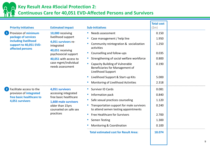

#### **Key Result Area #Social Protection 2:**

#### **Continuous Care for 40,051 EVD-Affected Persons and Survivors**

| <b>Priority Initiatives</b>                                                                                                         | <b>Estimated impact</b>                                                                                                                                                                      | <b>Sub-initiatives</b>                                                                                                                                                                                                                                                                                                                                                | <b>Total cost</b><br>$(\text{5m})$                                    |  |
|-------------------------------------------------------------------------------------------------------------------------------------|----------------------------------------------------------------------------------------------------------------------------------------------------------------------------------------------|-----------------------------------------------------------------------------------------------------------------------------------------------------------------------------------------------------------------------------------------------------------------------------------------------------------------------------------------------------------------------|-----------------------------------------------------------------------|--|
| Provision of minimum<br>$\blacksquare$<br>package of services<br>including livelihood<br>support to 40,051 EVD-<br>affected persons | 10,000 receiving<br>livelihood support<br>4,051 survivors re-<br>integrated<br>40,051 receiving<br>psychosocial support<br>40,051 with access to<br>case mgmt/individual<br>needs assessment | • Needs assessment<br>Case management / help line<br>Community reintegration & socialization<br>activities<br>Counselling and follow-ups<br>Strengthening of social welfare workforce<br>Capacity Building of Vulnerable<br>Beneficiaries for Management of<br><b>Livelihood Support</b><br>Livelihood Support & Start-up Kits<br>Monitoring of Livelihood Activities | 0.150<br>1.950<br>1.250<br>0.035<br>0.800<br>0.190<br>5.000<br>2.318  |  |
| $\left( 2\right)$<br>Facilitate access to the<br>provision of <i>integrated</i><br>free basic healthcare to<br>4,051 survivors      | 4,051 survivors<br>accessing integrated<br>free basic healthcare<br>1,600 male survivors<br>older than 15yrs<br>counseled on safe sex<br>practices                                           | <b>Survivor ID Cards</b><br>Information pack<br>Safe sexual practices counseling<br>a.<br>Transportation support for male survivors<br>a.<br>to attend semen testing appointments<br>Free Healthcare for Survivors<br>Semen Testing<br>Monitoring & Coordination<br><b>Total estimated cost for Result Area:</b>                                                      | 0.081<br>0.840<br>1.120<br>0.240<br>2.700<br>1.300<br>0.100<br>18.074 |  |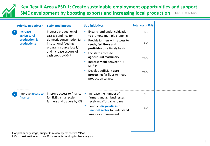#### **Key Result Area #PSD 1: Create sustainable employment opportunities and support SME development by boosting exports and increasing local production**  PRELIMINARY

| Total cost (\$M)<br><b>Sub-initiatives</b><br><b>Priority Initiatives<sup>1</sup></b><br><b>Estimated impact</b>                                                                                                                                                                                                                                                                               |  |
|------------------------------------------------------------------------------------------------------------------------------------------------------------------------------------------------------------------------------------------------------------------------------------------------------------------------------------------------------------------------------------------------|--|
| Increase production of<br>Expand land under cultivation<br><b>Increase</b><br><b>TBD</b><br>agricultural<br>cassava and rice for<br>to promote multiple cropping<br>production &<br>domestic consumption (all -<br>Provide farmers with access to<br><b>TBD</b><br>productivity<br>institutional feeding<br>seeds, fertilizers and<br>programs source locally)<br>pesticides on a timely basis |  |
| and increase exports of<br>Facilitate access to<br>cash crops by X% <sup>2</sup><br>agricultural machinery<br><b>TBD</b><br>Increase yield between 4-5<br>MT/Ha                                                                                                                                                                                                                                |  |
| Develop sufficient agro-<br><b>TBD</b><br>processing facilities to meet<br>production targets                                                                                                                                                                                                                                                                                                  |  |
| Improve access to finance<br>Increase the number of<br>Improve access to<br>13<br>for SMEs, small scale<br>farmers and agribusinesses<br>finance<br>farmers and traders by X%<br>receiving affordable loans                                                                                                                                                                                    |  |
| Conduct diagnostic into<br><b>I</b><br><b>TBD</b><br>financial sector to understand<br>areas for improvement                                                                                                                                                                                                                                                                                   |  |

1 At preliminary stage, subject to review by respective MDAs

2 Crop designation and thus % increase is pending further analysis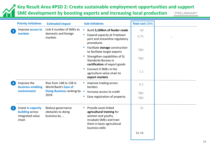**Key Result Area #PSD 2: Create sustainable employment opportunities and support SME development by boosting exports and increasing local production**  PRELIMINARY

|   | <b>Priority Initiatives</b>                                                                 | <b>Estimated impact</b>                                | <b>Sub-initiatives</b>                                                                                                                                                            | Total cost (\$M) |  |
|---|---------------------------------------------------------------------------------------------|--------------------------------------------------------|-----------------------------------------------------------------------------------------------------------------------------------------------------------------------------------|------------------|--|
|   | Link X number of SMEs to<br>Improve access to<br>markets<br>domestic and foreign<br>markets |                                                        | Build 3,100km of feeder roads<br>$\blacksquare$                                                                                                                                   | 40               |  |
|   |                                                                                             |                                                        | <b>Expand capacity at Freetown</b><br>port and streamline regulatory<br>procedures                                                                                                | 0.75             |  |
|   |                                                                                             |                                                        | Facilitate storage construction<br>ш<br>to facilitate target exports                                                                                                              | <b>TBD</b>       |  |
|   |                                                                                             |                                                        | Strengthen capabilities of SL<br>Standards Bureau in<br>certification of export goods                                                                                             | <b>TBD</b>       |  |
|   |                                                                                             |                                                        | Connect X SMEs in the<br>$\mathcal{L}_{\mathcal{A}}$<br>agriculture value chain to<br>export markets                                                                              | 1.1              |  |
|   | Improve the<br>business enabling<br>environment<br>2018                                     | Rise from 148 to 138 in<br>World Bank's Ease of        | Improve trading across<br>borders                                                                                                                                                 | 0.2              |  |
|   |                                                                                             | <b>Doing Business ranking by</b>                       | $\overline{\phantom{a}}$<br>Increase access to credit<br>Ease registration of property                                                                                            | <b>TBD</b>       |  |
|   |                                                                                             |                                                        |                                                                                                                                                                                   | <b>TBD</b>       |  |
| 5 | Invest in capacity<br><b>building</b> across<br>integrated value<br>chain                   | Reduce governance<br>obstacles to doing<br>business by | Provide asset-linked<br>$\mathcal{L}_{\mathcal{A}}$<br>agricultural training for<br>women and youths,<br>incubate SMEs and train<br>them in basic agricultural<br>business skills | 22               |  |
|   |                                                                                             |                                                        |                                                                                                                                                                                   | 92.78            |  |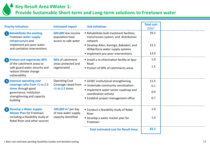**Key Result Area #Water 1:** 

**Provide Sustainable Short-term and Long-term solutions to Freetown water**

| <b>Priority Initiatives</b>                                                | <b>Estimated impact</b>                                       | <b>Sub-initiatives</b>                                                                      | <b>Total cost</b><br>$(SM)^1$ |  |
|----------------------------------------------------------------------------|---------------------------------------------------------------|---------------------------------------------------------------------------------------------|-------------------------------|--|
| 1 Rehabilitate the existing<br>Freetown water supply<br>infrastructure and | 600,000 low income<br>population have<br>access to safe water | Rehabilitate bulk treatment facilities,<br>transmission system, and distribution<br>network | 29.3                          |  |
| implement pro-poor water<br>and sanitation interventions                   |                                                               | Develop Allen, Kaningo, Babadori, and<br>Wilberforce water supply systems                   | 23.3                          |  |
|                                                                            |                                                               | Implement pro-poor interventions                                                            | 13.0                          |  |
| 2 Protect and regenerate 90%<br>of the catchment areas to                  | 90% of catchment<br>areas protected and                       | Install a re-chlorination facility at Spur<br>Road                                          | 1.0                           |  |
| safe-guard water security and<br>reduce climate change<br>vulnerability    | regenerated                                                   | ■ Protect of 90% of catchments areas                                                        | 1.5                           |  |
| 3 Improve operating cost                                                   | <b>Operating Cost</b>                                         | GVWC institutional strengthening                                                            | 11.5                          |  |
| coverage ratio from <1 to 2.5                                              | Coverage raised from                                          | ■ Undertake community sensitization                                                         | 0.1                           |  |
| times through good<br>governance, institution                              | <1 to 2.5 times                                               | Implement water sector roadmap and<br>coordination activity                                 | 0.9                           |  |
| strengthening and capacity<br>building                                     |                                                               | <b>Establish project management office</b>                                                  | 0.7                           |  |
| 4 Develop a Water Supply<br><b>Master Plan for Freetown</b>                | 100,000 $m^3$ per day<br>of new water supply                  | " Conduct a feasibility study of Rokel<br>River                                             | 1.0                           |  |
| including a feasibility study of<br>Rokel River and other sources          | capacity identified                                           | • Develop a water master plan for<br>Freetown                                               | 1.0                           |  |
|                                                                            |                                                               | <b>Total estimated cost for Result Area:</b>                                                | 83.3                          |  |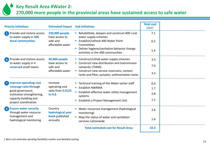**Key Result Area #Water 2:** 

**270,000 more people in the provincial areas have sustained access to safe water** 

| <b>Priority Initiatives</b>                                                                                                                         | <b>Estimated impact</b>                                           | <b>Sub-initiatives</b>                                                                                                                                                                                       | <b>Total cost</b><br>$(SM)^1$ |  |
|-----------------------------------------------------------------------------------------------------------------------------------------------------|-------------------------------------------------------------------|--------------------------------------------------------------------------------------------------------------------------------------------------------------------------------------------------------------|-------------------------------|--|
| 5 Provide and restore access<br>to water supply in 400<br><b>Rural communities</b>                                                                  | 230,000 people<br>have access to<br>safe and<br>affordable water  | Rehabilitate, deepen and construct 400 rural<br>water supply schemes<br>Establish/refresh 400 Water Point<br>Committees<br>Deliver hygiene/sanitation behavior change<br>activities in the 400 communities   | 7.1<br>0.2<br>1.4             |  |
| Provide and restore access<br>$\bullet$<br>to water supply in 4<br>unserved small towns                                                             | 40,000 people<br>have access to<br>safe and<br>affordable water   | • Construct/rehab water supply schemes<br>• Construct new distribution and transmission<br>networks (75KM)<br>• Construct new service reservoirs, contact<br>tanks and filter, pulsator, sedimentation tanks | 3.3<br>7.9<br>3.3             |  |
| Improve operating cost<br>coverage ratio through<br>good governance,<br>institution strengthening,<br>capacity building and<br>project coordination | Increase<br>operating cost<br>ratio from 0.0125<br>to 0.8         | ■ Technical training of the Water sector staff<br><b>Exablish NWRMA</b><br>Establish effective water utility management<br>systems<br>Establish a Project Management Unit                                    | 0.3<br>1.7<br>2.8<br>1.1      |  |
| 8 Ensure water security<br>through water resource<br>management and<br>hydrological monitoring                                                      | Country<br>hydrological year<br><b>book</b> published<br>annually | • Water resources management (hydrological<br>monitoring)<br>Map the status of water and sanitation<br>services nationwide                                                                                   | 2.6<br>1.6                    |  |
|                                                                                                                                                     |                                                                   | <b>Total estimated cost for Result Area:</b>                                                                                                                                                                 | 33.3                          |  |

1 Best cost estimates pending feasibility studies and detailed costing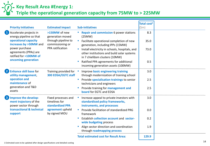**Key Result Area #Energy 1:** 

#### **Triple the operational generation capacity from 75MW to > 225MW**

|                                                                                                     |                                                                                                     |                                                                                                  |                                                                                                                                    | Total cost <sup>1</sup> |  |
|-----------------------------------------------------------------------------------------------------|-----------------------------------------------------------------------------------------------------|--------------------------------------------------------------------------------------------------|------------------------------------------------------------------------------------------------------------------------------------|-------------------------|--|
| <b>Priority Initiatives</b>                                                                         |                                                                                                     | <b>Estimated impact</b>                                                                          | <b>Sub-initiatives</b>                                                                                                             | (Sm)                    |  |
| Accelerate projects in<br>energy pipeline so that<br>operational capacity<br>increases by >50MW and |                                                                                                     | >150MW of new<br>generation moved<br>through pipeline to<br>commissioning or<br>PPA ratification | <b>Repair and commission 6 power stations</b><br>(25MW)                                                                            | 8.3                     |  |
|                                                                                                     |                                                                                                     |                                                                                                  | Facilitate operational completion of new<br>$\blacksquare$<br>generation, including IPPs (15MW)                                    | 35.0                    |  |
| power purchase                                                                                      | agreements (PPAs) are<br>ratified for >100MW of<br>oncoming generation                              |                                                                                                  | Install electricity in schools, hospitals, and<br>ш<br>other institutions and build solar systems<br>in 7 chiefdom clusters (10MW) | 73.0                    |  |
|                                                                                                     |                                                                                                     |                                                                                                  | Ratified PPA agreements for additional<br>incoming generation assets (100MW)                                                       | 0.5                     |  |
| $\overline{2}$<br><b>Enhance skill base for</b><br>utility management,                              | generation and T&D                                                                                  | Training provided for<br>300 EDSA/EGTC staff                                                     | Improve basic engineering training<br>through modernization of training school                                                     | 3.0                     |  |
| operation and<br>maintenance of                                                                     |                                                                                                     |                                                                                                  | Provide specialisation trainings to senior<br>technicians and engineers                                                            | 2.5                     |  |
| assets                                                                                              |                                                                                                     |                                                                                                  | Provide training for management and<br><b>board</b> for EGTC and EDSA                                                              | 2.5                     |  |
| $\mathbf{3}$<br>support                                                                             | Improve the develop-<br>ment trajectory of the<br>power sector through<br>transactional & technical | Fixed processes and<br>timelines for<br>standardized PPA<br>agreement upheld<br>by signed MOU    | Increase appeal to private investors with<br>standardised policy frameworks,<br>instruments, and processes                         | 3.0                     |  |
|                                                                                                     |                                                                                                     |                                                                                                  | Provide facilitation of standardized PRG<br>framework                                                                              | 0.0                     |  |
|                                                                                                     |                                                                                                     |                                                                                                  | Establish collection account and sector-<br>ш<br>wide budgeting process                                                            | 0.2                     |  |
|                                                                                                     |                                                                                                     |                                                                                                  | Align sector direction and coordination<br>through roadmapping process                                                             | 1.9                     |  |
|                                                                                                     |                                                                                                     |                                                                                                  | <b>Total estimated cost for Result Area:</b>                                                                                       | 129.9                   |  |